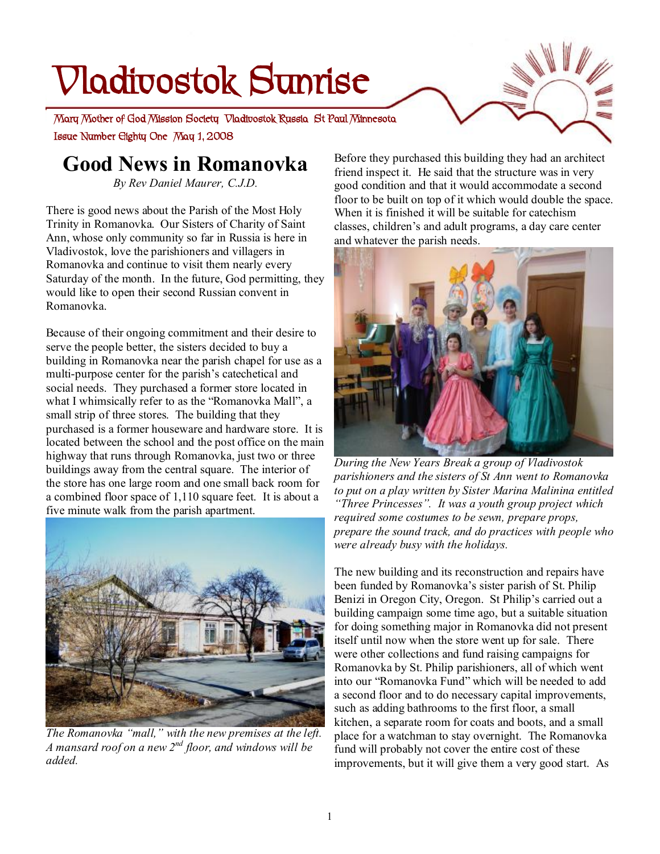# **Vladivostok Sunrise**

 **Issue Number Eighty One May 1, 2008 Mary Mother of God Mission Society Vladivostok Russia St Paul Minnesota** 

# **Good News in Romanovka**

*By Rev Daniel Maurer, C.J.D.* 

There is good news about the Parish of the Most Holy Trinity in Romanovka. Our Sisters of Charity of Saint Ann, whose only community so far in Russia is here in Vladivostok, love the parishioners and villagers in Romanovka and continue to visit them nearly every Saturday of the month. In the future, God permitting, they would like to open their second Russian convent in Romanovka.

Because of their ongoing commitment and their desire to serve the people better, the sisters decided to buy a building in Romanovka near the parish chapel for use as a multi-purpose center for the parish's catechetical and social needs. They purchased a former store located in what I whimsically refer to as the "Romanovka Mall", a small strip of three stores. The building that they purchased is a former houseware and hardware store. It is located between the school and the post office on the main highway that runs through Romanovka, just two or three buildings away from the central square. The interior of the store has one large room and one small back room for a combined floor space of 1,110 square feet. It is about a five minute walk from the parish apartment.



*The Romanovka "mall," with the new premises at the left. A mansard roof on a new 2nd floor, and windows will be added.* 

Before they purchased this building they had an architect friend inspect it. He said that the structure was in very good condition and that it would accommodate a second floor to be built on top of it which would double the space. When it is finished it will be suitable for catechism classes, children's and adult programs, a day care center and whatever the parish needs.



*During the New Years Break a group of Vladivostok parishioners and the sisters of St Ann went to Romanovka to put on a play written by Sister Marina Malinina entitled "Three Princesses". It was a youth group project which required some costumes to be sewn, prepare props, prepare the sound track, and do practices with people who were already busy with the holidays.* 

The new building and its reconstruction and repairs have been funded by Romanovka's sister parish of St. Philip Benizi in Oregon City, Oregon. St Philip's carried out a building campaign some time ago, but a suitable situation for doing something major in Romanovka did not present itself until now when the store went up for sale. There were other collections and fund raising campaigns for Romanovka by St. Philip parishioners, all of which went into our "Romanovka Fund" which will be needed to add a second floor and to do necessary capital improvements, such as adding bathrooms to the first floor, a small kitchen, a separate room for coats and boots, and a small place for a watchman to stay overnight. The Romanovka fund will probably not cover the entire cost of these improvements, but it will give them a very good start. As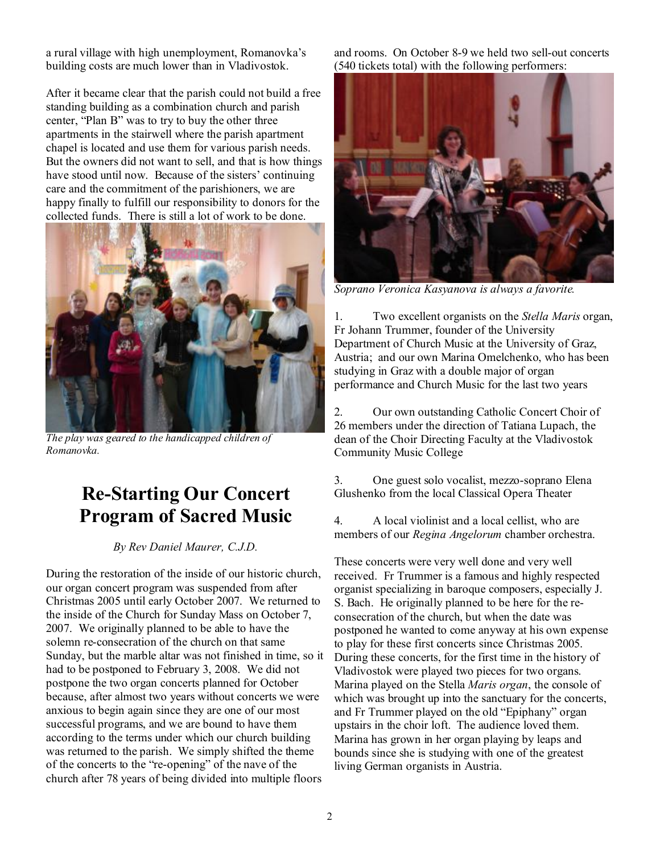a rural village with high unemployment, Romanovka's building costs are much lower than in Vladivostok.

After it became clear that the parish could not build a free standing building as a combination church and parish center, "Plan B" was to try to buy the other three apartments in the stairwell where the parish apartment chapel is located and use them for various parish needs. But the owners did not want to sell, and that is how things have stood until now. Because of the sisters' continuing care and the commitment of the parishioners, we are happy finally to fulfill our responsibility to donors for the collected funds. There is still a lot of work to be done.



*The play was geared to the handicapped children of Romanovka.* 

## **Re-Starting Our Concert Program of Sacred Music**

#### *By Rev Daniel Maurer, C.J.D.*

During the restoration of the inside of our historic church, our organ concert program was suspended from after Christmas 2005 until early October 2007. We returned to the inside of the Church for Sunday Mass on October 7, 2007. We originally planned to be able to have the solemn re-consecration of the church on that same Sunday, but the marble altar was not finished in time, so it had to be postponed to February 3, 2008. We did not postpone the two organ concerts planned for October because, after almost two years without concerts we were anxious to begin again since they are one of our most successful programs, and we are bound to have them according to the terms under which our church building was returned to the parish. We simply shifted the theme of the concerts to the "re-opening" of the nave of the church after 78 years of being divided into multiple floors

and rooms. On October 8-9 we held two sell-out concerts (540 tickets total) with the following performers:



*Soprano Veronica Kasyanova is always a favorite.* 

1. Two excellent organists on the *Stella Maris* organ, Fr Johann Trummer, founder of the University Department of Church Music at the University of Graz, Austria; and our own Marina Omelchenko, who has been studying in Graz with a double major of organ performance and Church Music for the last two years

2. Our own outstanding Catholic Concert Choir of 26 members under the direction of Tatiana Lupach, the dean of the Choir Directing Faculty at the Vladivostok Community Music College

3. One guest solo vocalist, mezzo-soprano Elena Glushenko from the local Classical Opera Theater

4. A local violinist and a local cellist, who are members of our *Regina Angelorum* chamber orchestra.

These concerts were very well done and very well received. Fr Trummer is a famous and highly respected organist specializing in baroque composers, especially J. S. Bach. He originally planned to be here for the reconsecration of the church, but when the date was postponed he wanted to come anyway at his own expense to play for these first concerts since Christmas 2005. During these concerts, for the first time in the history of Vladivostok were played two pieces for two organs. Marina played on the Stella *Maris organ*, the console of which was brought up into the sanctuary for the concerts, and Fr Trummer played on the old "Epiphany" organ upstairs in the choir loft. The audience loved them. Marina has grown in her organ playing by leaps and bounds since she is studying with one of the greatest living German organists in Austria.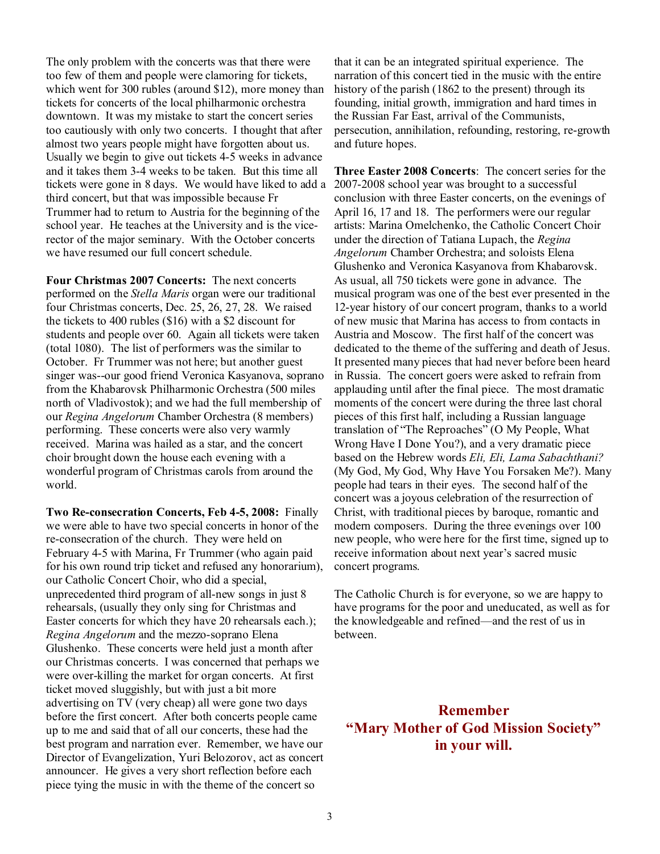The only problem with the concerts was that there were too few of them and people were clamoring for tickets, which went for 300 rubles (around \$12), more money than tickets for concerts of the local philharmonic orchestra downtown. It was my mistake to start the concert series too cautiously with only two concerts. I thought that after almost two years people might have forgotten about us. Usually we begin to give out tickets 4-5 weeks in advance and it takes them 3-4 weeks to be taken. But this time all tickets were gone in 8 days. We would have liked to add a third concert, but that was impossible because Fr Trummer had to return to Austria for the beginning of the school year. He teaches at the University and is the vicerector of the major seminary. With the October concerts we have resumed our full concert schedule.

**Four Christmas 2007 Concerts:** The next concerts performed on the *Stella Maris* organ were our traditional four Christmas concerts, Dec. 25, 26, 27, 28. We raised the tickets to 400 rubles (\$16) with a \$2 discount for students and people over 60. Again all tickets were taken (total 1080). The list of performers was the similar to October. Fr Trummer was not here; but another guest singer was--our good friend Veronica Kasyanova, soprano from the Khabarovsk Philharmonic Orchestra (500 miles north of Vladivostok); and we had the full membership of our *Regina Angelorum* Chamber Orchestra (8 members) performing. These concerts were also very warmly received. Marina was hailed as a star, and the concert choir brought down the house each evening with a wonderful program of Christmas carols from around the world.

**Two Re-consecration Concerts, Feb 4-5, 2008:** Finally we were able to have two special concerts in honor of the re-consecration of the church. They were held on February 4-5 with Marina, Fr Trummer (who again paid for his own round trip ticket and refused any honorarium), our Catholic Concert Choir, who did a special, unprecedented third program of all-new songs in just 8 rehearsals, (usually they only sing for Christmas and Easter concerts for which they have 20 rehearsals each.); *Regina Angelorum* and the mezzo-soprano Elena Glushenko. These concerts were held just a month after our Christmas concerts. I was concerned that perhaps we were over-killing the market for organ concerts. At first ticket moved sluggishly, but with just a bit more advertising on TV (very cheap) all were gone two days before the first concert. After both concerts people came up to me and said that of all our concerts, these had the best program and narration ever. Remember, we have our Director of Evangelization, Yuri Belozorov, act as concert announcer. He gives a very short reflection before each piece tying the music in with the theme of the concert so

that it can be an integrated spiritual experience. The narration of this concert tied in the music with the entire history of the parish (1862 to the present) through its founding, initial growth, immigration and hard times in the Russian Far East, arrival of the Communists, persecution, annihilation, refounding, restoring, re-growth and future hopes.

**Three Easter 2008 Concerts**: The concert series for the 2007-2008 school year was brought to a successful conclusion with three Easter concerts, on the evenings of April 16, 17 and 18. The performers were our regular artists: Marina Omelchenko, the Catholic Concert Choir under the direction of Tatiana Lupach, the *Regina Angelorum* Chamber Orchestra; and soloists Elena Glushenko and Veronica Kasyanova from Khabarovsk. As usual, all 750 tickets were gone in advance. The musical program was one of the best ever presented in the 12-year history of our concert program, thanks to a world of new music that Marina has access to from contacts in Austria and Moscow. The first half of the concert was dedicated to the theme of the suffering and death of Jesus. It presented many pieces that had never before been heard in Russia. The concert goers were asked to refrain from applauding until after the final piece. The most dramatic moments of the concert were during the three last choral pieces of this first half, including a Russian language translation of "The Reproaches" (O My People, What Wrong Have I Done You?), and a very dramatic piece based on the Hebrew words *Eli, Eli, Lama Sabachthani?* (My God, My God, Why Have You Forsaken Me?). Many people had tears in their eyes. The second half of the concert was a joyous celebration of the resurrection of Christ, with traditional pieces by baroque, romantic and modern composers. During the three evenings over 100 new people, who were here for the first time, signed up to receive information about next year's sacred music concert programs.

The Catholic Church is for everyone, so we are happy to have programs for the poor and uneducated, as well as for the knowledgeable and refined—and the rest of us in between.

### **Remember "Mary Mother of God Mission Society" in your will.**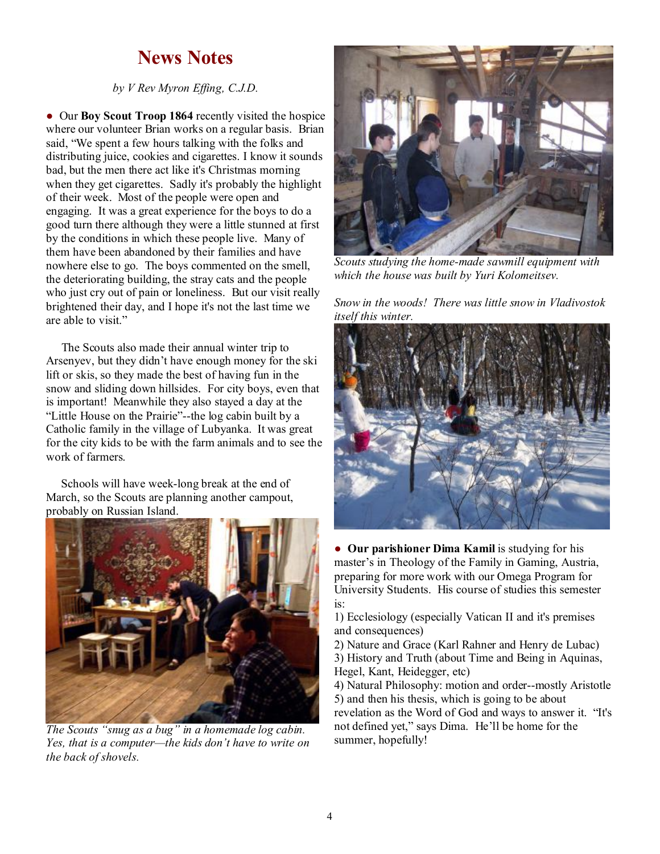## **News Notes**

*by V Rev Myron Effing, C.J.D.*

● Our **Boy Scout Troop 1864** recently visited the hospice where our volunteer Brian works on a regular basis. Brian said, "We spent a few hours talking with the folks and distributing juice, cookies and cigarettes. I know it sounds bad, but the men there act like it's Christmas morning when they get cigarettes. Sadly it's probably the highlight of their week. Most of the people were open and engaging. It was a great experience for the boys to do a good turn there although they were a little stunned at first by the conditions in which these people live. Many of them have been abandoned by their families and have nowhere else to go. The boys commented on the smell, the deteriorating building, the stray cats and the people who just cry out of pain or loneliness. But our visit really brightened their day, and I hope it's not the last time we are able to visit."

 The Scouts also made their annual winter trip to Arsenyev, but they didn't have enough money for the ski lift or skis, so they made the best of having fun in the snow and sliding down hillsides. For city boys, even that is important! Meanwhile they also stayed a day at the "Little House on the Prairie"--the log cabin built by a Catholic family in the village of Lubyanka. It was great for the city kids to be with the farm animals and to see the work of farmers.

 Schools will have week-long break at the end of March, so the Scouts are planning another campout, probably on Russian Island.



*The Scouts "snug as a bug" in a homemade log cabin. Yes, that is a computer—the kids don't have to write on the back of shovels.* 



*Scouts studying the home-made sawmill equipment with which the house was built by Yuri Kolomeitsev.* 

*Snow in the woods! There was little snow in Vladivostok itself this winter.* 



● **Our parishioner Dima Kamil** is studying for his master's in Theology of the Family in Gaming, Austria, preparing for more work with our Omega Program for University Students. His course of studies this semester is:

1) Ecclesiology (especially Vatican II and it's premises and consequences)

2) Nature and Grace (Karl Rahner and Henry de Lubac)

3) History and Truth (about Time and Being in Aquinas, Hegel, Kant, Heidegger, etc)

4) Natural Philosophy: motion and order--mostly Aristotle 5) and then his thesis, which is going to be about revelation as the Word of God and ways to answer it. "It's not defined yet," says Dima. He'll be home for the summer, hopefully!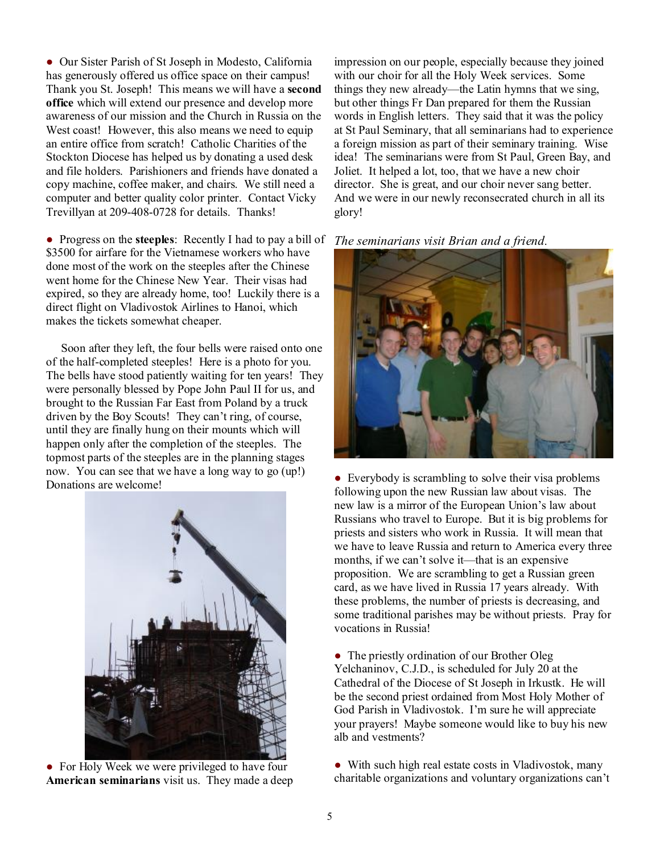● Our Sister Parish of St Joseph in Modesto, California has generously offered us office space on their campus! Thank you St. Joseph! This means we will have a **second office** which will extend our presence and develop more awareness of our mission and the Church in Russia on the West coast! However, this also means we need to equip an entire office from scratch! Catholic Charities of the Stockton Diocese has helped us by donating a used desk and file holders. Parishioners and friends have donated a copy machine, coffee maker, and chairs. We still need a computer and better quality color printer. Contact Vicky Trevillyan at 209-408-0728 for details. Thanks!

● Progress on the **steeples**: Recently I had to pay a bill of \$3500 for airfare for the Vietnamese workers who have done most of the work on the steeples after the Chinese went home for the Chinese New Year. Their visas had expired, so they are already home, too! Luckily there is a direct flight on Vladivostok Airlines to Hanoi, which makes the tickets somewhat cheaper.

 Soon after they left, the four bells were raised onto one of the half-completed steeples! Here is a photo for you. The bells have stood patiently waiting for ten years! They were personally blessed by Pope John Paul II for us, and brought to the Russian Far East from Poland by a truck driven by the Boy Scouts! They can't ring, of course, until they are finally hung on their mounts which will happen only after the completion of the steeples. The topmost parts of the steeples are in the planning stages now. You can see that we have a long way to go (up!) Donations are welcome!



• For Holy Week we were privileged to have four **American seminarians** visit us. They made a deep

impression on our people, especially because they joined with our choir for all the Holy Week services. Some things they new already—the Latin hymns that we sing, but other things Fr Dan prepared for them the Russian words in English letters. They said that it was the policy at St Paul Seminary, that all seminarians had to experience a foreign mission as part of their seminary training. Wise idea! The seminarians were from St Paul, Green Bay, and Joliet. It helped a lot, too, that we have a new choir director. She is great, and our choir never sang better. And we were in our newly reconsecrated church in all its glory!

*The seminarians visit Brian and a friend.* 



• Everybody is scrambling to solve their visa problems following upon the new Russian law about visas. The new law is a mirror of the European Union's law about Russians who travel to Europe. But it is big problems for priests and sisters who work in Russia. It will mean that we have to leave Russia and return to America every three months, if we can't solve it—that is an expensive proposition. We are scrambling to get a Russian green card, as we have lived in Russia 17 years already. With these problems, the number of priests is decreasing, and some traditional parishes may be without priests. Pray for vocations in Russia!

• The priestly ordination of our Brother Oleg Yelchaninov, C.J.D., is scheduled for July 20 at the Cathedral of the Diocese of St Joseph in Irkustk. He will be the second priest ordained from Most Holy Mother of God Parish in Vladivostok. I'm sure he will appreciate your prayers! Maybe someone would like to buy his new alb and vestments?

● With such high real estate costs in Vladivostok, many charitable organizations and voluntary organizations can't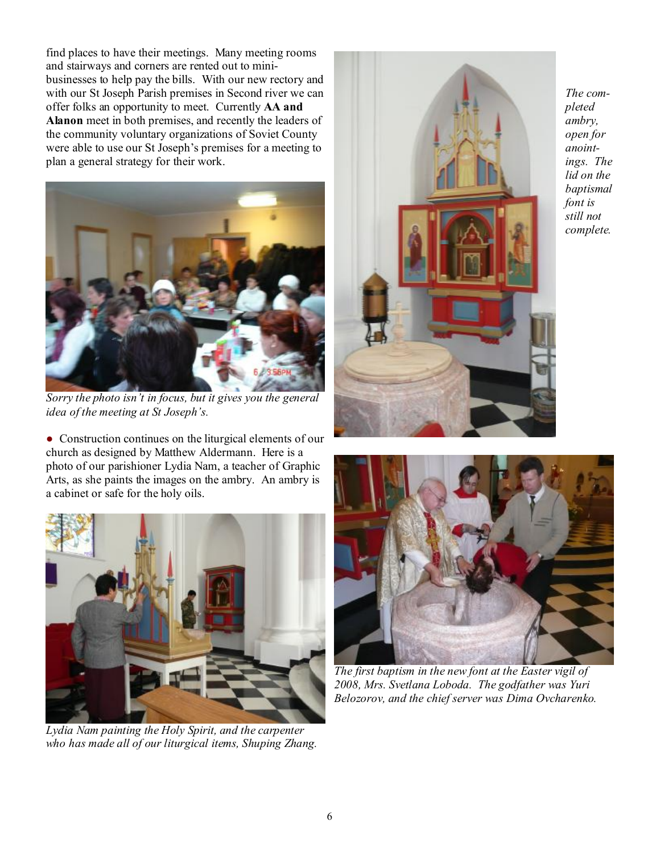find places to have their meetings. Many meeting rooms and stairways and corners are rented out to minibusinesses to help pay the bills. With our new rectory and with our St Joseph Parish premises in Second river we can offer folks an opportunity to meet. Currently **AA and Alanon** meet in both premises, and recently the leaders of the community voluntary organizations of Soviet County were able to use our St Joseph's premises for a meeting to plan a general strategy for their work.



*Sorry the photo isn't in focus, but it gives you the general idea of the meeting at St Joseph's.* 

● Construction continues on the liturgical elements of our church as designed by Matthew Aldermann. Here is a photo of our parishioner Lydia Nam, a teacher of Graphic Arts, as she paints the images on the ambry. An ambry is a cabinet or safe for the holy oils.



*Lydia Nam painting the Holy Spirit, and the carpenter who has made all of our liturgical items, Shuping Zhang.* 



*The completed ambry, open for anointings. The lid on the baptismal font is still not complete.* 



*The first baptism in the new font at the Easter vigil of 2008, Mrs. Svetlana Loboda. The godfather was Yuri Belozorov, and the chief server was Dima Ovcharenko.*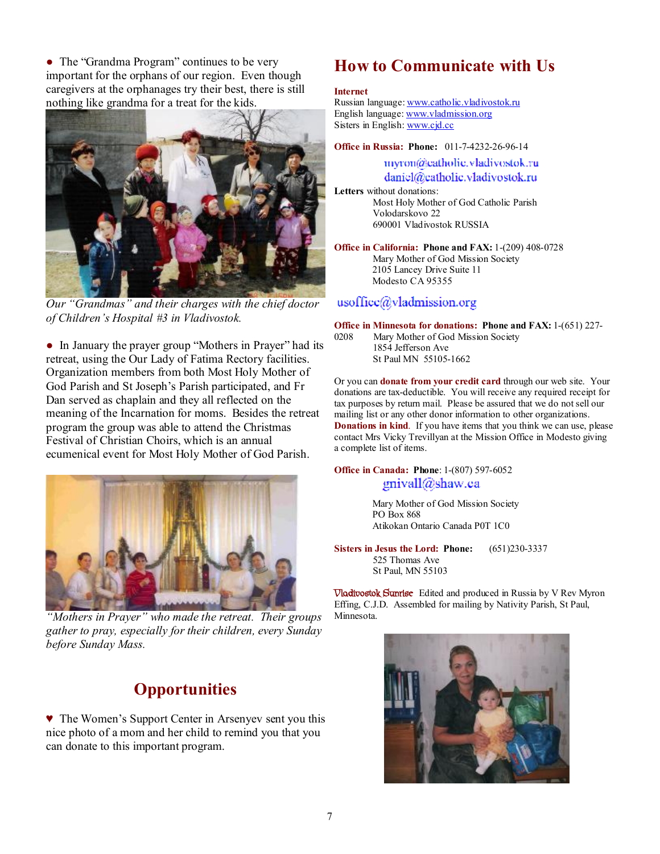• The "Grandma Program" continues to be very important for the orphans of our region. Even though caregivers at the orphanages try their best, there is still nothing like grandma for a treat for the kids.



*Our "Grandmas" and their charges with the chief doctor of Children's Hospital #3 in Vladivostok.* 

● In January the prayer group "Mothers in Prayer" had its retreat, using the Our Lady of Fatima Rectory facilities. Organization members from both Most Holy Mother of God Parish and St Joseph's Parish participated, and Fr Dan served as chaplain and they all reflected on the meaning of the Incarnation for moms. Besides the retreat program the group was able to attend the Christmas Festival of Christian Choirs, which is an annual ecumenical event for Most Holy Mother of God Parish.



*"Mothers in Prayer" who made the retreat. Their groups gather to pray, especially for their children, every Sunday before Sunday Mass.* 

## **Opportunities**

♥ The Women's Support Center in Arsenyev sent you this nice photo of a mom and her child to remind you that you can donate to this important program.

## **How to Communicate with Us**

#### **Internet**

Russian language: [www.catholic.vladivostok.ru](http://www.catholic.vladivostok.ru) English language: [www.vladmission.org](http://www.vladmission.org) Sisters in English: [www.cjd.cc](http://www.cjd.cc)

**Office in Russia: Phone:** 011-7-4232-26-96-14

myron@catholic.vladivostok.ru daniel@catholic.vladivostok.ru

**Letters** without donations: Most Holy Mother of God Catholic Parish Volodarskovo 22 690001 Vladivostok RUSSIA

**Office in California: Phone and FAX:** 1-(209) 408-0728 Mary Mother of God Mission Society 2105 Lancey Drive Suite 11 Modesto CA 95355

#### $usoffice(\partial_y)$ ladmission.org

**Office in Minnesota for donations: Phone and FAX:** 1-(651) 227-

0208 Mary Mother of God Mission Society 1854 Jefferson Ave St Paul MN 55105-1662

Or you can **donate from your credit card** through our web site. Your donations are tax-deductible. You will receive any required receipt for tax purposes by return mail. Please be assured that we do not sell our mailing list or any other donor information to other organizations. **Donations in kind**. If you have items that you think we can use, please contact Mrs Vicky Trevillyan at the Mission Office in Modesto giving a complete list of items.

#### **Office in Canada: Phone**: 1-(807) 597-6052 gnivall@shaw.ca

Mary Mother of God Mission Society PO Box 868 Atikokan Ontario Canada P0T 1C0

**Sisters in Jesus the Lord: Phone:** (651)230-3337 525 Thomas Ave St Paul, MN 55103

**Vladivostok Sunrise** Edited and produced in Russia by V Rev Myron Effing, C.J.D. Assembled for mailing by Nativity Parish, St Paul, Minnesota.